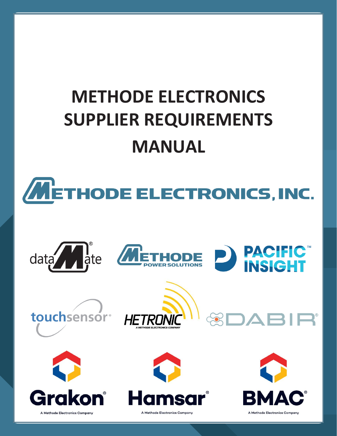# **METHODE ELECTRONICS SUPPLIER REQUIREMENTS MANUAL**















**Revision: Branch**<br>References Company

**Release Date:**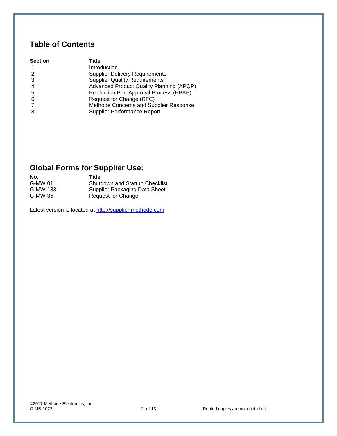# **Table of Contents**

| <b>Section</b> | Title                                    |
|----------------|------------------------------------------|
|                | Introduction                             |
|                | <b>Supplier Delivery Requirements</b>    |
| 3              | <b>Supplier Quality Requirements</b>     |
| 4              | Advanced Product Quality Planning (APQP) |
| -5             | Production Part Approval Process (PPAP)  |
| 6              | Request for Change (RFC)                 |
|                | Methode Concerns and Supplier Response   |
|                | Supplier Performance Report              |

# **Global Forms for Supplier Use:**

| <b>Shutdown and Startup Checklist</b> |
|---------------------------------------|
| Supplier Packaging Data Sheet         |
| Request for Change                    |
|                                       |

Latest version is located at [http://supplier.methode.com](http://supplier.methode.com/)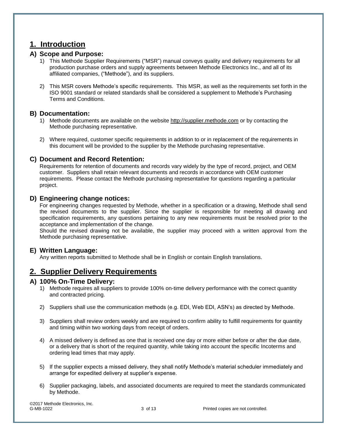# **1. Introduction**

## **A) Scope and Purpose:**

- 1) This Methode Supplier Requirements ("MSR") manual conveys quality and delivery requirements for all production purchase orders and supply agreements between Methode Electronics Inc., and all of its affiliated companies, ("Methode"), and its suppliers.
- 2) This MSR covers Methode's specific requirements. This MSR, as well as the requirements set forth in the ISO 9001 standard or related standards shall be considered a supplement to Methode's Purchasing Terms and Conditions.

## **B) Documentation:**

- 1) Methode documents are available on the website [http://supplier.methode.com](http://supplier.methode.com/) or by contacting the Methode purchasing representative.
- 2) Where required, customer specific requirements in addition to or in replacement of the requirements in this document will be provided to the supplier by the Methode purchasing representative.

## **C) Document and Record Retention:**

Requirements for retention of documents and records vary widely by the type of record, project, and OEM customer. Suppliers shall retain relevant documents and records in accordance with OEM customer requirements. Please contact the Methode purchasing representative for questions regarding a particular project.

### **D) Engineering change notices:**

For engineering changes requested by Methode, whether in a specification or a drawing, Methode shall send the revised documents to the supplier. Since the supplier is responsible for meeting all drawing and specification requirements, any questions pertaining to any new requirements must be resolved prior to the acceptance and implementation of the change.

Should the revised drawing not be available, the supplier may proceed with a written approval from the Methode purchasing representative.

### **E) Written Language:**

Any written reports submitted to Methode shall be in English or contain English translations.

# **2. Supplier Delivery Requirements**

### **A) 100% On-Time Delivery:**

- 1) Methode requires all suppliers to provide 100% on-time delivery performance with the correct quantity and contracted pricing.
- 2) Suppliers shall use the communication methods (e.g. EDI, Web EDI, ASN's) as directed by Methode.
- 3) Suppliers shall review orders weekly and are required to confirm ability to fulfill requirements for quantity and timing within two working days from receipt of orders.
- 4) A missed delivery is defined as one that is received one day or more either before or after the due date, or a delivery that is short of the required quantity, while taking into account the specific Incoterms and ordering lead times that may apply.
- 5) If the supplier expects a missed delivery, they shall notify Methode's material scheduler immediately and arrange for expedited delivery at supplier's expense.
- 6) Supplier packaging, labels, and associated documents are required to meet the standards communicated by Methode.

©2017 Methode Electronics, Inc.

3 of 13 Printed copies are not controlled.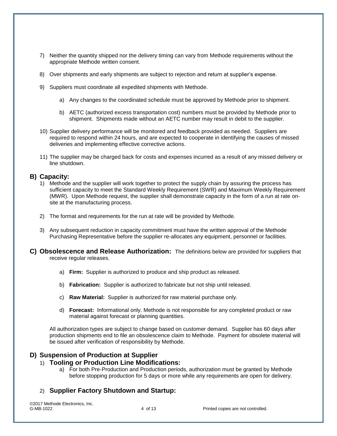- 7) Neither the quantity shipped nor the delivery timing can vary from Methode requirements without the appropriate Methode written consent.
- 8) Over shipments and early shipments are subject to rejection and return at supplier's expense.
- 9) Suppliers must coordinate all expedited shipments with Methode.
	- a) Any changes to the coordinated schedule must be approved by Methode prior to shipment.
	- b) AETC (authorized excess transportation cost) numbers must be provided by Methode prior to shipment. Shipments made without an AETC number may result in debit to the supplier.
- 10) Supplier delivery performance will be monitored and feedback provided as needed. Suppliers are required to respond within 24 hours, and are expected to cooperate in identifying the causes of missed deliveries and implementing effective corrective actions.
- 11) The supplier may be charged back for costs and expenses incurred as a result of any missed delivery or line shutdown.

### **B) Capacity:**

- 1) Methode and the supplier will work together to protect the supply chain by assuring the process has sufficient capacity to meet the Standard Weekly Requirement (SWR) and Maximum Weekly Requirement (MWR). Upon Methode request, the supplier shall demonstrate capacity in the form of a run at rate onsite at the manufacturing process.
- 2) The format and requirements for the run at rate will be provided by Methode.
- 3) Any subsequent reduction in capacity commitment must have the written approval of the Methode Purchasing Representative before the supplier re-allocates any equipment, personnel or facilities.
- **C) Obsolescence and Release Authorization:** The definitions below are provided for suppliers that receive regular releases.
	- a) **Firm:** Supplier is authorized to produce and ship product as released.
	- b) **Fabrication:** Supplier is authorized to fabricate but not ship until released.
	- c) **Raw Material:** Supplier is authorized for raw material purchase only.
	- d) **Forecast:** Informational only. Methode is not responsible for any completed product or raw material against forecast or planning quantities.

All authorization types are subject to change based on customer demand. Supplier has 60 days after production shipments end to file an obsolescence claim to Methode. Payment for obsolete material will be issued after verification of responsibility by Methode.

# **D) Suspension of Production at Supplier**

#### 1) **Tooling or Production Line Modifications:**

a) For both Pre-Production and Production periods, authorization must be granted by Methode before stopping production for 5 days or more while any requirements are open for delivery.

# 2) **Supplier Factory Shutdown and Startup:**

©2017 Methode Electronics, Inc.

4 of 13 Printed copies are not controlled.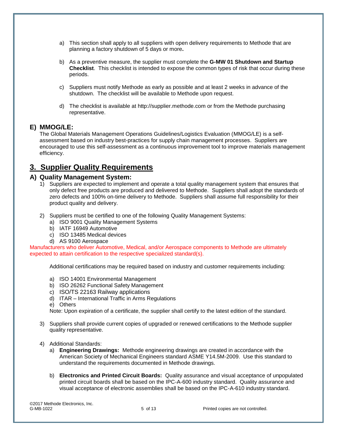- a) This section shall apply to all suppliers with open delivery requirements to Methode that are planning a factory shutdown of 5 days or more**.**
- b) As a preventive measure, the supplier must complete the **G-MW 01 Shutdown and Startup Checklist**. This checklist is intended to expose the common types of risk that occur during these periods.
- c) Suppliers must notify Methode as early as possible and at least 2 weeks in advance of the shutdown. The checklist will be available to Methode upon request.
- d) The checklist is available at http://supplier.methode.com or from the Methode purchasing representative.

# **E) MMOG/LE:**

The Global Materials Management Operations Guidelines/Logistics Evaluation (MMOG/LE) is a selfassessment based on industry best-practices for supply chain management processes. Suppliers are encouraged to use this self-assessment as a continuous improvement tool to improve materials management efficiency.

# **3. Supplier Quality Requirements**

## **A) Quality Management System:**

- 1) Suppliers are expected to implement and operate a total quality management system that ensures that only defect free products are produced and delivered to Methode. Suppliers shall adopt the standards of zero defects and 100% on-time delivery to Methode. Suppliers shall assume full responsibility for their product quality and delivery.
- 2) Suppliers must be certified to one of the following Quality Management Systems:
	- a) ISO 9001 Quality Management Systems
	- b) IATF 16949 Automotive
	- c) ISO 13485 Medical devices
	- d) AS 9100 Aerospace

Manufacturers who deliver Automotive, Medical, and/or Aerospace components to Methode are ultimately expected to attain certification to the respective specialized standard(s).

Additional certifications may be required based on industry and customer requirements including:

- a) ISO 14001 Environmental Management
- b) ISO 26262 Functional Safety Management
- c) ISO/TS 22163 Railway applications
- d) ITAR International Traffic in Arms Regulations
- e) Others

Note: Upon expiration of a certificate, the supplier shall certify to the latest edition of the standard.

- 3) Suppliers shall provide current copies of upgraded or renewed certifications to the Methode supplier quality representative.
- 4) Additional Standards:
	- a) **Engineering Drawings:** Methode engineering drawings are created in accordance with the American Society of Mechanical Engineers standard ASME Y14.5M-2009. Use this standard to understand the requirements documented in Methode drawings.
	- b) **Electronics and Printed Circuit Boards:** Quality assurance and visual acceptance of unpopulated printed circuit boards shall be based on the IPC-A-600 industry standard. Quality assurance and visual acceptance of electronic assemblies shall be based on the IPC-A-610 industry standard.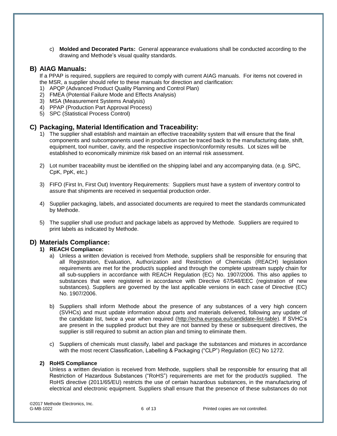c) **Molded and Decorated Parts:** General appearance evaluations shall be conducted according to the drawing and Methode's visual quality standards.

#### **B) AIAG Manuals:**

If a PPAP is required, suppliers are required to comply with current AIAG manuals. For items not covered in the MSR, a supplier should refer to these manuals for direction and clarification:

- 1) APQP (Advanced Product Quality Planning and Control Plan)
- 2) FMEA (Potential Failure Mode and Effects Analysis)
- 3) MSA (Measurement Systems Analysis)
- 4) PPAP (Production Part Approval Process)
- 5) SPC (Statistical Process Control)

### **C) Packaging, Material Identification and Traceability:**

- 1) The supplier shall establish and maintain an effective traceability system that will ensure that the final components and subcomponents used in production can be traced back to the manufacturing date, shift, equipment, tool number, cavity, and the respective inspection/conformity results. Lot sizes will be established to economically minimize risk based on an internal risk assessment.
- 2) Lot number traceability must be identified on the shipping label and any accompanying data. (e.g. SPC, CpK, PpK, etc.)
- 3) FIFO (First In, First Out) Inventory Requirements: Suppliers must have a system of inventory control to assure that shipments are received in sequential production order.
- 4) Supplier packaging, labels, and associated documents are required to meet the standards communicated by Methode.
- 5) The supplier shall use product and package labels as approved by Methode. Suppliers are required to print labels as indicated by Methode.

### **D) Materials Compliance:**

#### **1) REACH Compliance:**

- a) Unless a written deviation is received from Methode, suppliers shall be responsible for ensuring that all Registration, Evaluation, Authorization and Restriction of Chemicals (REACH) legislation requirements are met for the product/s supplied and through the complete upstream supply chain for all sub-suppliers in accordance with REACH Regulation (EC) No. 1907/2006. This also applies to substances that were registered in accordance with Directive 67/548/EEC (registration of new substances). Suppliers are governed by the last applicable versions in each case of Directive (EC) No. 1907/2006.
- b) Suppliers shall inform Methode about the presence of any substances of a very high concern (SVHCs) and must update information about parts and materials delivered, following any update of the candidate list, twice a year when required [\(http://echa.europa.eu/candidate-list-table\)](http://echa.europa.eu/candidate-list-table). If SVHC's are present in the supplied product but they are not banned by these or subsequent directives, the supplier is still required to submit an action plan and timing to eliminate them.
- c) Suppliers of chemicals must classify, label and package the substances and mixtures in accordance with the most recent Classification, Labelling & Packaging ("CLP") Regulation (EC) No 1272.

#### **2) RoHS Compliance**

Unless a written deviation is received from Methode, suppliers shall be responsible for ensuring that all Restriction of Hazardous Substances ("RoHS") requirements are met for the product/s supplied. The RoHS directive (2011/65/EU) restricts the use of certain hazardous substances, in the manufacturing of electrical and electronic equipment. Suppliers shall ensure that the presence of these substances do not

©2017 Methode Electronics, Inc.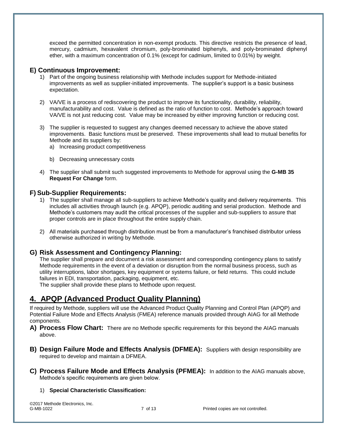exceed the permitted concentration in non-exempt products. This directive restricts the presence of lead, mercury, cadmium, hexavalent chromium, poly-brominated biphenyls, and poly-brominated diphenyl ether, with a maximum concentration of 0.1% (except for cadmium, limited to 0.01%) by weight.

## **E) Continuous Improvement:**

- 1) Part of the ongoing business relationship with Methode includes support for Methode-initiated improvements as well as supplier-initiated improvements. The supplier's support is a basic business expectation.
- 2) VA/VE is a process of rediscovering the product to improve its functionality, durability, reliability, manufacturability and cost. Value is defined as the ratio of function to cost. Methode's approach toward VA/VE is not just reducing cost. Value may be increased by either improving function or reducing cost.
- 3) The supplier is requested to suggest any changes deemed necessary to achieve the above stated improvements. Basic functions must be preserved. These improvements shall lead to mutual benefits for Methode and its suppliers by:
	- a) Increasing product competitiveness
	- b) Decreasing unnecessary costs
- 4) The supplier shall submit such suggested improvements to Methode for approval using the **G-MB 35 Request For Change** form.

## **F) Sub-Supplier Requirements:**

- 1) The supplier shall manage all sub-suppliers to achieve Methode's quality and delivery requirements. This includes all activities through launch (e.g. APQP), periodic auditing and serial production. Methode and Methode's customers may audit the critical processes of the supplier and sub-suppliers to assure that proper controls are in place throughout the entire supply chain.
- 2) All materials purchased through distribution must be from a manufacturer's franchised distributor unless otherwise authorized in writing by Methode.

# **G) Risk Assessment and Contingency Planning:**

The supplier shall prepare and document a risk assessment and corresponding contingency plans to satisfy Methode requirements in the event of a deviation or disruption from the normal business process, such as utility interruptions, labor shortages, key equipment or systems failure, or field returns. This could include failures in EDI, transportation, packaging, equipment, etc.

The supplier shall provide these plans to Methode upon request.

# **4. APQP (Advanced Product Quality Planning)**

If required by Methode, suppliers will use the Advanced Product Quality Planning and Control Plan (APQP) and Potential Failure Mode and Effects Analysis (FMEA) reference manuals provided through AIAG for all Methode components.

- **A) Process Flow Chart:** There are no Methode specific requirements for this beyond the AIAG manuals above.
- **B) Design Failure Mode and Effects Analysis (DFMEA):** Suppliers with design responsibility are required to develop and maintain a DFMEA.
- **C) Process Failure Mode and Effects Analysis (PFMEA):** In addition to the AIAG manuals above, Methode's specific requirements are given below.

### 1) **Special Characteristic Classification:**

©2017 Methode Electronics, Inc.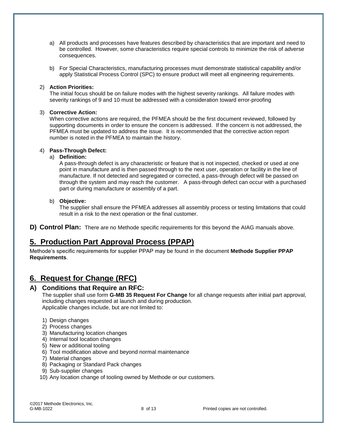- a) All products and processes have features described by characteristics that are important and need to be controlled. However, some characteristics require special controls to minimize the risk of adverse consequences.
- b) For Special Characteristics, manufacturing processes must demonstrate statistical capability and/or apply Statistical Process Control (SPC) to ensure product will meet all engineering requirements.

#### 2) **Action Priorities:**

The initial focus should be on failure modes with the highest severity rankings. All failure modes with severity rankings of 9 and 10 must be addressed with a consideration toward error-proofing

#### 3) **Corrective Action:**

When corrective actions are required, the PFMEA should be the first document reviewed, followed by supporting documents in order to ensure the concern is addressed. If the concern is not addressed, the PFMEA must be updated to address the issue. It is recommended that the corrective action report number is noted in the PFMEA to maintain the history.

#### 4) **Pass-Through Defect:**

#### a) **Definition:**

A pass-through defect is any characteristic or feature that is not inspected, checked or used at one point in manufacture and is then passed through to the next user, operation or facility in the line of manufacture. If not detected and segregated or corrected, a pass-through defect will be passed on through the system and may reach the customer. A pass-through defect can occur with a purchased part or during manufacture or assembly of a part.

#### b) **Objective:**

The supplier shall ensure the PFMEA addresses all assembly process or testing limitations that could result in a risk to the next operation or the final customer.

**D) Control Plan:** There are no Methode specific requirements for this beyond the AIAG manuals above.

# **5. Production Part Approval Process (PPAP)**

Methode's specific requirements for supplier PPAP may be found in the document **Methode Supplier PPAP Requirements**.

# **6. Request for Change (RFC)**

### **A) Conditions that Require an RFC:**

The supplier shall use form **G-MB 35 Request For Change** for all change requests after initial part approval, including changes requested at launch and during production. Applicable changes include, but are not limited to:

- 1) Design changes
- 2) Process changes
- 3) Manufacturing location changes
- 4) Internal tool location changes
- 5) New or additional tooling
- 6) Tool modification above and beyond normal maintenance
- 7) Material changes
- 8) Packaging or Standard Pack changes
- 9) Sub-supplier changes
- 10) Any location change of tooling owned by Methode or our customers.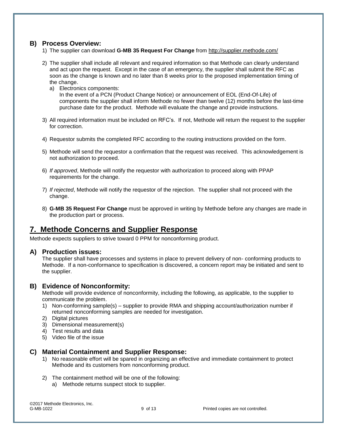## **B) Process Overview:**

- 1) The supplier can download **G-MB 35 Request For Change** from<http://supplier.methode.com/>
- 2) The supplier shall include all relevant and required information so that Methode can clearly understand and act upon the request. Except in the case of an emergency, the supplier shall submit the RFC as soon as the change is known and no later than 8 weeks prior to the proposed implementation timing of the change.
	- a) Electronics components: In the event of a PCN (Product Change Notice) or announcement of EOL (End-Of-Life) of components the supplier shall inform Methode no fewer than twelve (12) months before the last-time purchase date for the product. Methode will evaluate the change and provide instructions.
- 3) All required information must be included on RFC's. If not, Methode will return the request to the supplier for correction.
- 4) Requestor submits the completed RFC according to the routing instructions provided on the form.
- 5) Methode will send the requestor a confirmation that the request was received. This acknowledgement is not authorization to proceed.
- 6) *If approved*, Methode will notify the requestor with authorization to proceed along with PPAP requirements for the change.
- 7) *If rejected*, Methode will notify the requestor of the rejection. The supplier shall not proceed with the change.
- 8) **G-MB 35 Request For Change** must be approved in writing by Methode before any changes are made in the production part or process.

# **7. Methode Concerns and Supplier Response**

Methode expects suppliers to strive toward 0 PPM for nonconforming product.

### **A) Production issues:**

The supplier shall have processes and systems in place to prevent delivery of non- conforming products to Methode. If a non-conformance to specification is discovered, a concern report may be initiated and sent to the supplier.

### **B) Evidence of Nonconformity:**

Methode will provide evidence of nonconformity, including the following, as applicable, to the supplier to communicate the problem.

- 1) Non-conforming sample(s) supplier to provide RMA and shipping account/authorization number if returned nonconforming samples are needed for investigation.
- 2) Digital pictures
- 3) Dimensional measurement(s)
- 4) Test results and data
- 5) Video file of the issue

### **C) Material Containment and Supplier Response:**

- 1) No reasonable effort will be spared in organizing an effective and immediate containment to protect Methode and its customers from nonconforming product.
- 2) The containment method will be one of the following:
	- a) Methode returns suspect stock to supplier.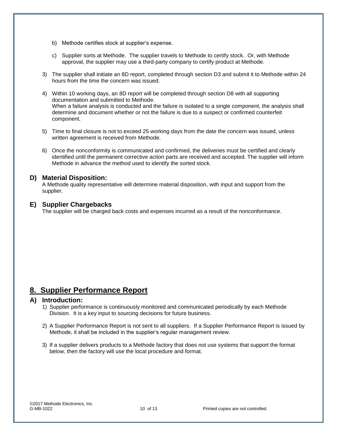- b) Methode certifies stock at supplier's expense.
- c) Supplier sorts at Methode. The supplier travels to Methode to certify stock. Or, with Methode approval, the supplier may use a third-party company to certify product at Methode.
- 3) The supplier shall initiate an 8D report, completed through section D3 and submit it to Methode within 24 hours from the time the concern was issued.
- 4) Within 10 working days, an 8D report will be completed through section D8 with all supporting documentation and submitted to Methode. When a failure analysis is conducted and the failure is isolated to a single component, the analysis shall determine and document whether or not the failure is due to a suspect or confirmed counterfeit component.
- 5) Time to final closure is not to exceed 25 working days from the date the concern was issued, unless written agreement is received from Methode.
- 6) Once the nonconformity is communicated and confirmed, the deliveries must be certified and clearly identified until the permanent corrective action parts are received and accepted. The supplier will inform Methode in advance the method used to identify the sorted stock.

#### **D) Material Disposition:**

A Methode quality representative will determine material disposition, with input and support from the supplier.

### **E) Supplier Chargebacks**

The supplier will be charged back costs and expenses incurred as a result of the nonconformance.

# **8. Supplier Performance Report**

#### **A) Introduction:**

- 1) Supplier performance is continuously monitored and communicated periodically by each Methode Division. It is a key input to sourcing decisions for future business.
- 2) A Supplier Performance Report is not sent to all suppliers. If a Supplier Performance Report is issued by Methode, it shall be included in the supplier's regular management review.
- 3) If a supplier delivers products to a Methode factory that does not use systems that support the format below, then the factory will use the local procedure and format.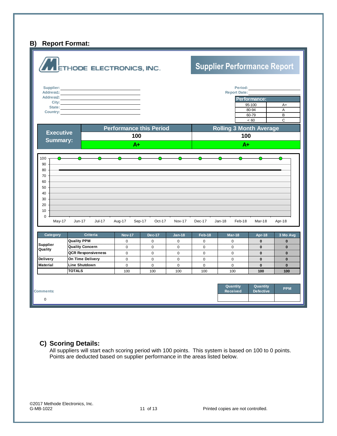# **B) Report Format:**



#### **C) Scoring Details:**

All suppliers will start each scoring period with 100 points. This system is based on 100 to 0 points. Points are deducted based on supplier performance in the areas listed below.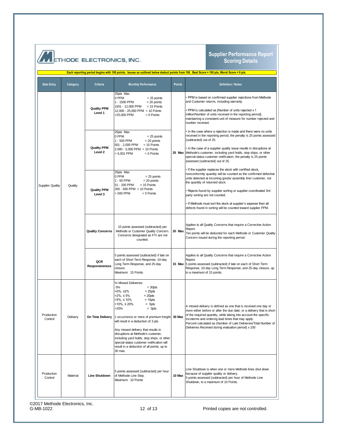|  | <b>ANETHODE ELECTRONICS, INC.</b> |  |
|--|-----------------------------------|--|
|  |                                   |  |

#### **Supplier Performance Report Scoring Details**

| Each reporting period begins with 100 points. Issues as outlined below deduct points from 100. Best Score = 100 pts, Worst Score = 0 pts. |          |                                          |                                                                                                                                                                                                                                                                                                                                                                                                                                                                                                                                     |               |                                                                                                                                                                                                                                                                                                                                                                                                                                                                         |
|-------------------------------------------------------------------------------------------------------------------------------------------|----------|------------------------------------------|-------------------------------------------------------------------------------------------------------------------------------------------------------------------------------------------------------------------------------------------------------------------------------------------------------------------------------------------------------------------------------------------------------------------------------------------------------------------------------------------------------------------------------------|---------------|-------------------------------------------------------------------------------------------------------------------------------------------------------------------------------------------------------------------------------------------------------------------------------------------------------------------------------------------------------------------------------------------------------------------------------------------------------------------------|
| Data Entry                                                                                                                                | Category | Criteria                                 | <b>Monthly Performance</b>                                                                                                                                                                                                                                                                                                                                                                                                                                                                                                          | <b>Points</b> | <b>Definition / Notes</b>                                                                                                                                                                                                                                                                                                                                                                                                                                               |
|                                                                                                                                           | Quality  | <b>Quality PPM</b><br>Level 1            | 25pts Max<br>0 PPM<br>$= 25$ points<br>$= 20$ points<br>1 - 1500 PPM<br>$= 15$ Points<br>1501 - 12,000 PPM<br>12,000 - 25,000 PPM = 10 Points<br>>25,000 PPM<br>$= 0$ Points                                                                                                                                                                                                                                                                                                                                                        | 25 Max        | PPM is based on confirmed supplier rejections from Methode<br>and Customer returns, including warranty.<br>PPM is calculated as [Number of units rejected x 1<br>million/Number of units received in the reporting period],<br>maintaining a consistent unit of measure for number rejected and<br>number received.                                                                                                                                                     |
|                                                                                                                                           |          | <b>Quality PPM</b><br>Level <sub>2</sub> | 25pts Max<br>0 PPM<br>$= 25$ points<br>1 - 500 PPM<br>$= 20$ points<br>$= 15$ Points<br>501 - 2,000 PPM<br>$2,000 - 5,000$ PPM = 10 Points<br>> 5,001 PPM<br>$= 0$ Points                                                                                                                                                                                                                                                                                                                                                           |               | In the case where a rejection is made and there were no units<br>received in the reporting period, the penalty is 25 points assessed<br>(subtracted) out of 25.<br>In the case of a supplier quality issue results in disruptions at<br>Methode's customer, including yard holds, stop ships, or other<br>special-status customer notification, the penalty is 25 points<br>assessed (subtracted) out of 25.                                                            |
| <b>Supplier Quality</b>                                                                                                                   |          | <b>Quality PPM</b><br>Level 3            | 25pts Max<br>0 PPM<br>$= 25$ points<br>$= 20$ points<br>1 - 50 PPM<br>$= 15$ Points<br>51 - 200 PPM<br>$200 - 500$ PPM = 10 Points<br>> 500 PPM<br>$= 0$ Points                                                                                                                                                                                                                                                                                                                                                                     |               | If the supplier replaces the stock with certified stock,<br>nonconformity quantity will be counted as the confirmed defective<br>units detected at incoming goods/ assembly line/ customer, not<br>the quantity of returned stock.<br>Rejects found by supplier sorting or supplier-coordinated 3rd<br>party sorting are not counted.<br>If Methode must sort the stock at supplier's expense then all<br>defects found in sorting will be counted toward supplier PPM. |
|                                                                                                                                           |          | <b>Quality Concerns</b>                  | 10 points assessed (subtracted) per<br>Methode or Customer Quality Concern.<br>Concerns designated as FYI are not<br>counted.                                                                                                                                                                                                                                                                                                                                                                                                       | 20 Max        | Applies to all Quality Concerns that require a Corrective Action<br>Report.<br>Ten points will be deducted for each Methode or Customer Quality<br>Concern issued during the reporting period.                                                                                                                                                                                                                                                                          |
|                                                                                                                                           |          | QCR<br>Responsiveness                    | 5 points assessed (subtracted) if late on<br>each of Short Term Response, 10-day<br>Long Term Response, and 25-day<br>closure.<br>Maximum: 15 Points                                                                                                                                                                                                                                                                                                                                                                                | 15 Max        | Applies to all Quality Concerns that require a Corrective Action<br>Report.<br>5 points assessed (subtracted) if late on each of Short Term<br>Response, 10-day Long Term Response, and 25-day closure, up<br>to a maximum of 15 points.                                                                                                                                                                                                                                |
| Production<br>Control                                                                                                                     | Delivery | On Time Delivery                         | % Missed Deliveries:<br>0%<br>$= 30pts$<br>$= 25pts$<br>$>0\%$ , $\leq 2\%$<br>$>2\%$ , ≤ 5%<br>$= 20pts$<br>$= 10$ pts<br>$>5\%$ . $\leq 10\%$<br>$>10\%$ , $\leq 20\%$<br>$= 5pts$<br>>20%<br>$=$ Opts<br>1 occurrence or more of premium freight 30 Max<br>will result in a deduction of 3 pts.<br>Any missed delivery that results in<br>disruptions at Methode's customer,<br>including yard holds, stop ships, or other<br>special-status customer notification will<br>result in a deduction of all points, up to<br>30 max. |               | A missed delivery is defined as one that is received one day or<br>more either before or after the due date, or a delivery that is short<br>of the required quantity, while taking into account the specific<br>Incoterms and ordering lead times that may apply.<br>Percent calculated as (Number of Late Deliveries/Total Number of<br>Deliveries Received during evaluation period) x 100                                                                            |
| Production<br>Control                                                                                                                     | Material | <b>Line Shutdown</b>                     | 5 points assessed (subtracted) per hour<br>of Methode Line Stop.<br>Maximum: 10 Points                                                                                                                                                                                                                                                                                                                                                                                                                                              | 10 Max        | Line Shutdown is when one or more Methode lines shut down<br>because of supplier quality or delivery.<br>5 points assessed (subtracted) per hour of Methode Line<br>Shutdown, to a maximum of 10 Points.                                                                                                                                                                                                                                                                |

12 of 13 Printed copies are not controlled.